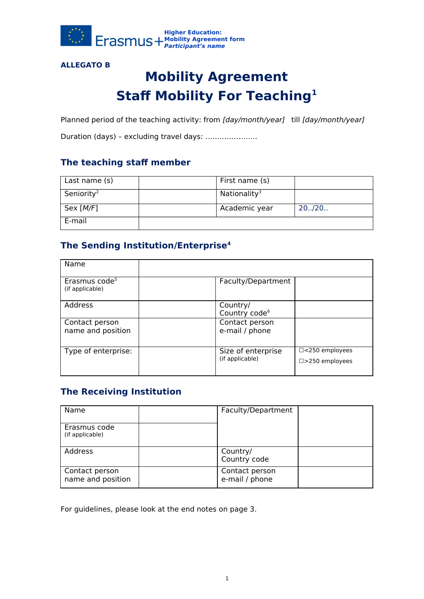

#### **ALLEGATO B**

# **Mobility Agreement Staff Mobility For Teaching<sup>1</sup>**

Planned period of the teaching activity: from [day/month/year] till [day/month/year]

Duration (days) – excluding travel days: ………………….

## **The teaching staff member**

| Last name (s)          | First name (s)           |         |
|------------------------|--------------------------|---------|
| Seniority <sup>2</sup> | Nationality <sup>3</sup> |         |
| Sex $[M/F]$            | Academic year            | 20.720. |
| E-mail                 |                          |         |

## **The Sending Institution/Enterprise<sup>4</sup>**

| Name                                         |                                       |                                                    |
|----------------------------------------------|---------------------------------------|----------------------------------------------------|
| Erasmus code <sup>5</sup><br>(if applicable) | Faculty/Department                    |                                                    |
| Address                                      | Country/<br>Country code <sup>6</sup> |                                                    |
| Contact person<br>name and position          | Contact person<br>e-mail / phone      |                                                    |
| Type of enterprise:                          | Size of enterprise<br>(if applicable) | $\Box$ <250 employees<br>$\square$ > 250 employees |

## **The Receiving Institution**

| Name                                | Faculty/Department               |  |
|-------------------------------------|----------------------------------|--|
| Erasmus code<br>(if applicable)     |                                  |  |
| Address                             | Country/<br>Country code         |  |
| Contact person<br>name and position | Contact person<br>e-mail / phone |  |

For guidelines, please look at the end notes on page 3.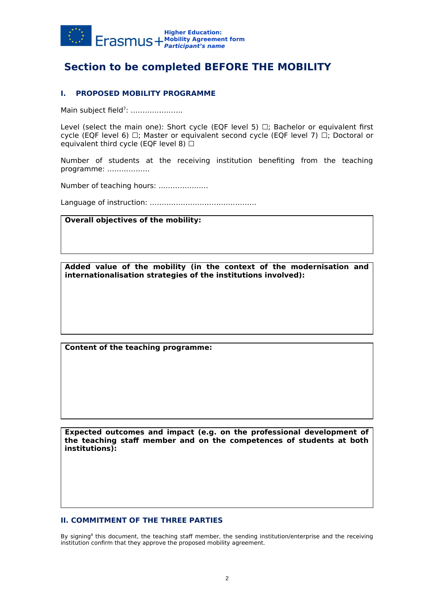

## **Section to be completed BEFORE THE MOBILITY**

#### **I. PROPOSED MOBILITY PROGRAMME**

Main subject field<sup>7</sup>: ......................

Level (select the main one): Short cycle (EQF level 5)  $\Box$ ; Bachelor or equivalent first cycle (EQF level 6) □; Master or equivalent second cycle (EQF level 7) □; Doctoral or equivalent third cycle (EQF level 8)  $\Box$ 

Number of students at the receiving institution benefiting from the teaching programme: ………………

Number of teaching hours: …………………

Language of instruction: ………………………………………

**Overall objectives of the mobility:**

**Added value of the mobility (in the context of the modernisation and internationalisation strategies of the institutions involved):**

**Content of the teaching programme:**

**Expected outcomes and impact (e.g. on the professional development of the teaching staff member and on the competences of students at both institutions):**

#### **II. COMMITMENT OF THE THREE PARTIES**

By signing<sup>8</sup> this document, the teaching staff member, the sending institution/enterprise and the receiving institution confirm that they approve the proposed mobility agreement.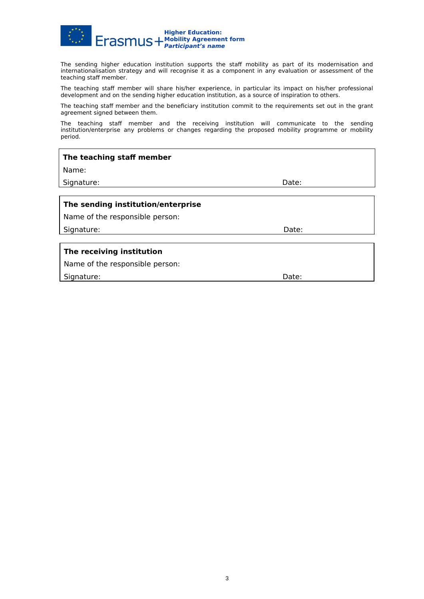

The sending higher education institution supports the staff mobility as part of its modernisation and internationalisation strategy and will recognise it as a component in any evaluation or assessment of the teaching staff member.

The teaching staff member will share his/her experience, in particular its impact on his/her professional development and on the sending higher education institution, as a source of inspiration to others.

The teaching staff member and the beneficiary institution commit to the requirements set out in the grant agreement signed between them.

The teaching staff member and the receiving institution will communicate to the sending institution/enterprise any problems or changes regarding the proposed mobility programme or mobility period.

| The teaching staff member          |       |  |  |  |
|------------------------------------|-------|--|--|--|
| Name:                              |       |  |  |  |
| Signature:                         | Date: |  |  |  |
|                                    |       |  |  |  |
| The sending institution/enterprise |       |  |  |  |
| Name of the responsible person:    |       |  |  |  |
| Signature:                         | Date: |  |  |  |
|                                    |       |  |  |  |
| The receiving institution          |       |  |  |  |
| Name of the responsible person:    |       |  |  |  |
| Signature:                         | Date: |  |  |  |